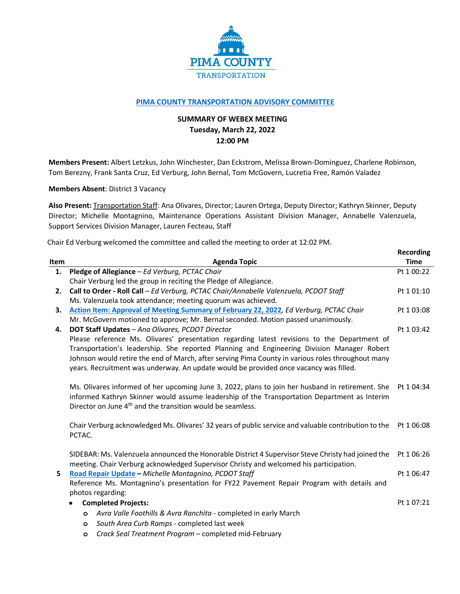

## **[PIMA COUNTY TRANSPORTATION ADVISORY COMMITTEE](https://webcms.pima.gov/cms/One.aspx?portalId=169&pageId=355530)**

## **SUMMARY OF WEBEX MEETING Tuesday, March 22, 2022 12:00 PM**

**Members Present:** Albert Letzkus, John Winchester, Dan Eckstrom, Melissa Brown-Dominguez, Charlene Robinson, Tom Berezny, Frank Santa Cruz, Ed Verburg, John Bernal, Tom McGovern, Lucretia Free, Ramón Valadez

**Members Absent**: District 3 Vacancy

**Also Present:** Transportation Staff: Ana Olivares, Director; Lauren Ortega, Deputy Director; Kathryn Skinner, Deputy Director; Michelle Montagnino, Maintenance Operations Assistant Division Manager, Annabelle Valenzuela, Support Services Division Manager, Lauren Fecteau, Staff

**Recording**

Chair Ed Verburg welcomed the committee and called the meeting to order at 12:02 PM.

|      |                                                                                                      | <b>RECORDING</b> |
|------|------------------------------------------------------------------------------------------------------|------------------|
| Item | <b>Agenda Topic</b>                                                                                  | <b>Time</b>      |
| 1.   | Pledge of Allegiance - Ed Verburg, PCTAC Chair                                                       | Pt 1 00:22       |
|      | Chair Verburg led the group in reciting the Pledge of Allegiance.                                    |                  |
| 2.   | Call to Order - Roll Call - Ed Verburg, PCTAC Chair/Annabelle Valenzuela, PCDOT Staff                | Pt 1 01:10       |
|      | Ms. Valenzuela took attendance; meeting quorum was achieved.                                         |                  |
| З.   | Action Item: Approval of Meeting Summary of February 22, 2022, Ed Verburg, PCTAC Chair               | Pt 1 03:08       |
|      | Mr. McGovern motioned to approve; Mr. Bernal seconded. Motion passed unanimously.                    |                  |
| 4.   | DOT Staff Updates - Ana Olivares, PCDOT Director                                                     | Pt 1 03:42       |
|      | Please reference Ms. Olivares' presentation regarding latest revisions to the Department of          |                  |
|      | Transportation's leadership. She reported Planning and Engineering Division Manager Robert           |                  |
|      | Johnson would retire the end of March, after serving Pima County in various roles throughout many    |                  |
|      | years. Recruitment was underway. An update would be provided once vacancy was filled.                |                  |
|      | Ms. Olivares informed of her upcoming June 3, 2022, plans to join her husband in retirement. She     | Pt 1 04:34       |
|      | informed Kathryn Skinner would assume leadership of the Transportation Department as Interim         |                  |
|      | Director on June 4 <sup>th</sup> and the transition would be seamless.                               |                  |
|      |                                                                                                      |                  |
|      | Chair Verburg acknowledged Ms. Olivares' 32 years of public service and valuable contribution to the | Pt 1 06:08       |
|      | PCTAC.                                                                                               |                  |
|      | SIDEBAR: Ms. Valenzuela announced the Honorable District 4 Supervisor Steve Christy had joined the   | Pt 1 06:26       |
|      | meeting. Chair Verburg acknowledged Supervisor Christy and welcomed his participation.               |                  |
| 5    | Road Repair Update - Michelle Montagnino, PCDOT Staff                                                | Pt 1 06:47       |
|      | Reference Ms. Montagnino's presentation for FY22 Pavement Repair Program with details and            |                  |
|      | photos regarding:                                                                                    |                  |
|      | <b>Completed Projects:</b><br>$\bullet$                                                              | Pt 1 07:21       |
|      | Avra Valle Foothills & Avra Ranchita - completed in early March<br>$\circ$                           |                  |
|      | South Area Curb Ramps - completed last week<br>$\circ$                                               |                  |
|      | Crack Seal Treatment Program - completed mid-February<br>$\circ$                                     |                  |
|      |                                                                                                      |                  |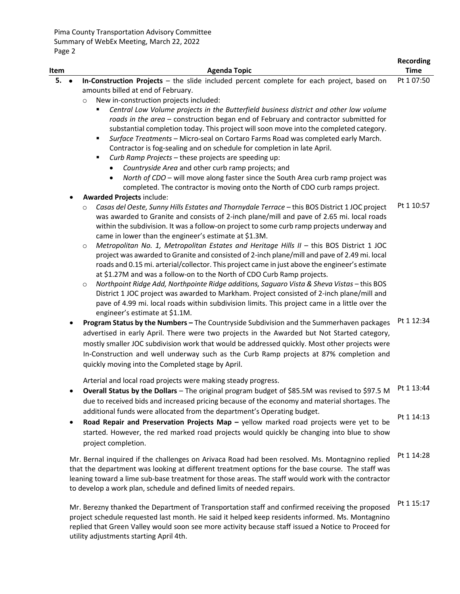utility adjustments starting April 4th.

| Item            | <b>Agenda Topic</b>                                                                                                                                                                                                                                                                                                                                                                                                                                                                                                                                                                                                                                                                                                                                                                                                                                                                                                                                                                                                                                                                                                                                                                                                                                                                                                                                                                                                       | Recording<br><b>Time</b> |
|-----------------|---------------------------------------------------------------------------------------------------------------------------------------------------------------------------------------------------------------------------------------------------------------------------------------------------------------------------------------------------------------------------------------------------------------------------------------------------------------------------------------------------------------------------------------------------------------------------------------------------------------------------------------------------------------------------------------------------------------------------------------------------------------------------------------------------------------------------------------------------------------------------------------------------------------------------------------------------------------------------------------------------------------------------------------------------------------------------------------------------------------------------------------------------------------------------------------------------------------------------------------------------------------------------------------------------------------------------------------------------------------------------------------------------------------------------|--------------------------|
| 5.<br>$\bullet$ | In-Construction Projects - the slide included percent complete for each project, based on<br>amounts billed at end of February.<br>New in-construction projects included:<br>$\circ$<br>Central Low Volume projects in the Butterfield business district and other low volume<br>roads in the area – construction began end of February and contractor submitted for<br>substantial completion today. This project will soon move into the completed category.<br>Surface Treatments - Micro-seal on Cortaro Farms Road was completed early March.<br>٠<br>Contractor is fog-sealing and on schedule for completion in late April.<br>Curb Ramp Projects - these projects are speeding up:<br>٠<br>Countryside Area and other curb ramp projects; and<br>North of CDO - will move along faster since the South Area curb ramp project was<br>$\bullet$<br>completed. The contractor is moving onto the North of CDO curb ramps project.                                                                                                                                                                                                                                                                                                                                                                                                                                                                                   | Pt 1 07:50               |
|                 | <b>Awarded Projects include:</b><br>Casas del Oeste, Sunny Hills Estates and Thornydale Terrace - this BOS District 1 JOC project<br>$\circ$<br>was awarded to Granite and consists of 2-inch plane/mill and pave of 2.65 mi. local roads<br>within the subdivision. It was a follow-on project to some curb ramp projects underway and<br>came in lower than the engineer's estimate at \$1.3M.<br>Metropolitan No. 1, Metropolitan Estates and Heritage Hills II - this BOS District 1 JOC<br>$\circ$<br>project was awarded to Granite and consisted of 2-inch plane/mill and pave of 2.49 mi. local<br>roads and 0.15 mi. arterial/collector. This project came in just above the engineer's estimate<br>at \$1.27M and was a follow-on to the North of CDO Curb Ramp projects.<br>Northpoint Ridge Add, Northpointe Ridge additions, Saguaro Vista & Sheva Vistas - this BOS<br>$\circ$<br>District 1 JOC project was awarded to Markham. Project consisted of 2-inch plane/mill and<br>pave of 4.99 mi. local roads within subdivision limits. This project came in a little over the<br>engineer's estimate at \$1.1M.<br>Program Status by the Numbers - The Countryside Subdivision and the Summerhaven packages<br>advertised in early April. There were two projects in the Awarded but Not Started category,<br>mostly smaller JOC subdivision work that would be addressed quickly. Most other projects were | Pt 1 10:57<br>Pt 1 12:34 |
|                 | In-Construction and well underway such as the Curb Ramp projects at 87% completion and<br>quickly moving into the Completed stage by April.<br>Arterial and local road projects were making steady progress.                                                                                                                                                                                                                                                                                                                                                                                                                                                                                                                                                                                                                                                                                                                                                                                                                                                                                                                                                                                                                                                                                                                                                                                                              |                          |
| ٠               | <b>Overall Status by the Dollars</b> – The original program budget of \$85.5M was revised to \$97.5 M <sup>Pt 1 13:44</sup><br>due to received bids and increased pricing because of the economy and material shortages. The<br>additional funds were allocated from the department's Operating budget.<br>Road Repair and Preservation Projects Map - yellow marked road projects were yet to be<br>started. However, the red marked road projects would quickly be changing into blue to show<br>project completion.                                                                                                                                                                                                                                                                                                                                                                                                                                                                                                                                                                                                                                                                                                                                                                                                                                                                                                    | Pt 1 14:13               |
|                 | Mr. Bernal inquired if the challenges on Arivaca Road had been resolved. Ms. Montagnino replied<br>that the department was looking at different treatment options for the base course. The staff was<br>leaning toward a lime sub-base treatment for those areas. The staff would work with the contractor<br>to develop a work plan, schedule and defined limits of needed repairs.                                                                                                                                                                                                                                                                                                                                                                                                                                                                                                                                                                                                                                                                                                                                                                                                                                                                                                                                                                                                                                      | Pt 1 14:28               |
|                 | Mr. Berezny thanked the Department of Transportation staff and confirmed receiving the proposed<br>project schedule requested last month. He said it helped keep residents informed. Ms. Montagnino<br>replied that Green Valley would soon see more activity because staff issued a Notice to Proceed for                                                                                                                                                                                                                                                                                                                                                                                                                                                                                                                                                                                                                                                                                                                                                                                                                                                                                                                                                                                                                                                                                                                | Pt 1 15:17               |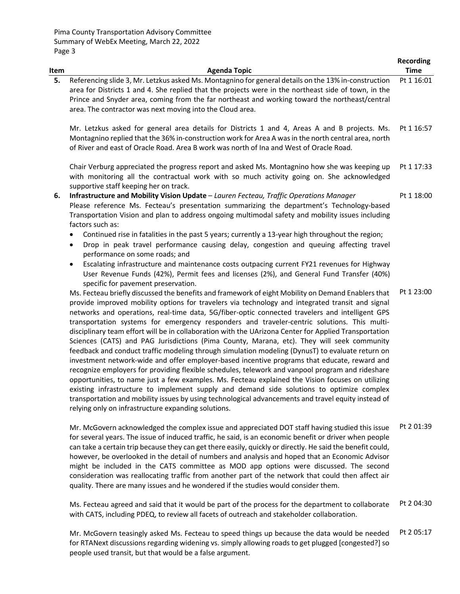| Item | <b>Agenda Topic</b>                                                                                                                                                                                                                                                                                                                                                                                                                                                                                                                                                                                                                                                                                                                                                                                                                                                                                                                                                                                                                                                                                                                                                                                                                                                                     | <b>Recording</b><br><b>Time</b> |
|------|-----------------------------------------------------------------------------------------------------------------------------------------------------------------------------------------------------------------------------------------------------------------------------------------------------------------------------------------------------------------------------------------------------------------------------------------------------------------------------------------------------------------------------------------------------------------------------------------------------------------------------------------------------------------------------------------------------------------------------------------------------------------------------------------------------------------------------------------------------------------------------------------------------------------------------------------------------------------------------------------------------------------------------------------------------------------------------------------------------------------------------------------------------------------------------------------------------------------------------------------------------------------------------------------|---------------------------------|
| 5.   | Referencing slide 3, Mr. Letzkus asked Ms. Montagnino for general details on the 13% in-construction<br>area for Districts 1 and 4. She replied that the projects were in the northeast side of town, in the<br>Prince and Snyder area, coming from the far northeast and working toward the northeast/central<br>area. The contractor was next moving into the Cloud area.                                                                                                                                                                                                                                                                                                                                                                                                                                                                                                                                                                                                                                                                                                                                                                                                                                                                                                             | Pt 1 16:01                      |
|      | Mr. Letzkus asked for general area details for Districts 1 and 4, Areas A and B projects. Ms.<br>Montagnino replied that the 36% in-construction work for Area A was in the north central area, north<br>of River and east of Oracle Road. Area B work was north of Ina and West of Oracle Road.                                                                                                                                                                                                                                                                                                                                                                                                                                                                                                                                                                                                                                                                                                                                                                                                                                                                                                                                                                                        | Pt 1 16:57                      |
|      | Chair Verburg appreciated the progress report and asked Ms. Montagnino how she was keeping up<br>with monitoring all the contractual work with so much activity going on. She acknowledged<br>supportive staff keeping her on track.                                                                                                                                                                                                                                                                                                                                                                                                                                                                                                                                                                                                                                                                                                                                                                                                                                                                                                                                                                                                                                                    | Pt 1 17:33                      |
| 6.   | Infrastructure and Mobility Vision Update - Lauren Fecteau, Traffic Operations Manager<br>Please reference Ms. Fecteau's presentation summarizing the department's Technology-based<br>Transportation Vision and plan to address ongoing multimodal safety and mobility issues including<br>factors such as:                                                                                                                                                                                                                                                                                                                                                                                                                                                                                                                                                                                                                                                                                                                                                                                                                                                                                                                                                                            | Pt 1 18:00                      |
|      | Continued rise in fatalities in the past 5 years; currently a 13-year high throughout the region;<br>٠<br>Drop in peak travel performance causing delay, congestion and queuing affecting travel<br>$\bullet$<br>performance on some roads; and                                                                                                                                                                                                                                                                                                                                                                                                                                                                                                                                                                                                                                                                                                                                                                                                                                                                                                                                                                                                                                         |                                 |
|      | Escalating infrastructure and maintenance costs outpacing current FY21 revenues for Highway<br>$\bullet$<br>User Revenue Funds (42%), Permit fees and licenses (2%), and General Fund Transfer (40%)<br>specific for pavement preservation.                                                                                                                                                                                                                                                                                                                                                                                                                                                                                                                                                                                                                                                                                                                                                                                                                                                                                                                                                                                                                                             |                                 |
|      | Ms. Fecteau briefly discussed the benefits and framework of eight Mobility on Demand Enablers that<br>provide improved mobility options for travelers via technology and integrated transit and signal<br>networks and operations, real-time data, 5G/fiber-optic connected travelers and intelligent GPS<br>transportation systems for emergency responders and traveler-centric solutions. This multi-<br>disciplinary team effort will be in collaboration with the UArizona Center for Applied Transportation<br>Sciences (CATS) and PAG Jurisdictions (Pima County, Marana, etc). They will seek community<br>feedback and conduct traffic modeling through simulation modeling (DynusT) to evaluate return on<br>investment network-wide and offer employer-based incentive programs that educate, reward and<br>recognize employers for providing flexible schedules, telework and vanpool program and rideshare<br>opportunities, to name just a few examples. Ms. Fecteau explained the Vision focuses on utilizing<br>existing infrastructure to implement supply and demand side solutions to optimize complex<br>transportation and mobility issues by using technological advancements and travel equity instead of<br>relying only on infrastructure expanding solutions. | Pt 1 23:00                      |
|      | Mr. McGovern acknowledged the complex issue and appreciated DOT staff having studied this issue<br>for several years. The issue of induced traffic, he said, is an economic benefit or driver when people                                                                                                                                                                                                                                                                                                                                                                                                                                                                                                                                                                                                                                                                                                                                                                                                                                                                                                                                                                                                                                                                               | Pt 2 01:39                      |

can take a certain trip because they can get there easily, quickly or directly. He said the benefit could, however, be overlooked in the detail of numbers and analysis and hoped that an Economic Advisor might be included in the CATS committee as MOD app options were discussed. The second consideration was reallocating traffic from another part of the network that could then affect air quality. There are many issues and he wondered if the studies would consider them.

Ms. Fecteau agreed and said that it would be part of the process for the department to collaborate with CATS, including PDEQ, to review all facets of outreach and stakeholder collaboration. Pt 2 04:30

Mr. McGovern teasingly asked Ms. Fecteau to speed things up because the data would be needed for RTANext discussions regarding widening vs. simply allowing roads to get plugged [congested?] so people used transit, but that would be a false argument. Pt 2 05:17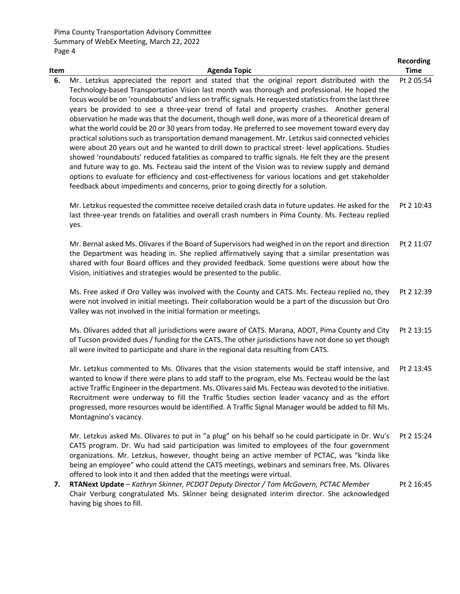|      |                                                                                                                                                                                                                                                                                                                                                                                                                                                                                                                                                                                                                                                                                                                                                                                                                                                                                                                                                                                                                                                                                                                                                                                                                                  | <b>Recording</b> |
|------|----------------------------------------------------------------------------------------------------------------------------------------------------------------------------------------------------------------------------------------------------------------------------------------------------------------------------------------------------------------------------------------------------------------------------------------------------------------------------------------------------------------------------------------------------------------------------------------------------------------------------------------------------------------------------------------------------------------------------------------------------------------------------------------------------------------------------------------------------------------------------------------------------------------------------------------------------------------------------------------------------------------------------------------------------------------------------------------------------------------------------------------------------------------------------------------------------------------------------------|------------------|
| Item | <b>Agenda Topic</b>                                                                                                                                                                                                                                                                                                                                                                                                                                                                                                                                                                                                                                                                                                                                                                                                                                                                                                                                                                                                                                                                                                                                                                                                              | <b>Time</b>      |
| 6.   | Mr. Letzkus appreciated the report and stated that the original report distributed with the<br>Technology-based Transportation Vision last month was thorough and professional. He hoped the<br>focus would be on 'roundabouts' and less on traffic signals. He requested statistics from the last three<br>years be provided to see a three-year trend of fatal and property crashes. Another general<br>observation he made was that the document, though well done, was more of a theoretical dream of<br>what the world could be 20 or 30 years from today. He preferred to see movement toward every day<br>practical solutions such as transportation demand management. Mr. Letzkus said connected vehicles<br>were about 20 years out and he wanted to drill down to practical street- level applications. Studies<br>showed 'roundabouts' reduced fatalities as compared to traffic signals. He felt they are the present<br>and future way to go. Ms. Fecteau said the intent of the Vision was to review supply and demand<br>options to evaluate for efficiency and cost-effectiveness for various locations and get stakeholder<br>feedback about impediments and concerns, prior to going directly for a solution. | Pt 2 05:54       |
|      | Mr. Letzkus requested the committee receive detailed crash data in future updates. He asked for the<br>last three-year trends on fatalities and overall crash numbers in Pima County. Ms. Fecteau replied<br>yes.                                                                                                                                                                                                                                                                                                                                                                                                                                                                                                                                                                                                                                                                                                                                                                                                                                                                                                                                                                                                                | Pt 2 10:43       |
|      | Mr. Bernal asked Ms. Olivares if the Board of Supervisors had weighed in on the report and direction<br>the Department was heading in. She replied affirmatively saying that a similar presentation was<br>shared with four Board offices and they provided feedback. Some questions were about how the<br>Vision, initiatives and strategies would be presented to the public.                                                                                                                                                                                                                                                                                                                                                                                                                                                                                                                                                                                                                                                                                                                                                                                                                                                  | Pt 2 11:07       |
|      | Ms. Free asked if Oro Valley was involved with the County and CATS. Ms. Fecteau replied no, they<br>were not involved in initial meetings. Their collaboration would be a part of the discussion but Oro<br>Valley was not involved in the initial formation or meetings.                                                                                                                                                                                                                                                                                                                                                                                                                                                                                                                                                                                                                                                                                                                                                                                                                                                                                                                                                        | Pt 2 12:39       |
|      | Ms. Olivares added that all jurisdictions were aware of CATS. Marana, ADOT, Pima County and City<br>of Tucson provided dues / funding for the CATS. The other jurisdictions have not done so yet though<br>all were invited to participate and share in the regional data resulting from CATS.                                                                                                                                                                                                                                                                                                                                                                                                                                                                                                                                                                                                                                                                                                                                                                                                                                                                                                                                   | Pt 2 13:15       |
|      | Mr. Letzkus commented to Ms. Olivares that the vision statements would be staff intensive, and<br>wanted to know if there were plans to add staff to the program, else Ms. Fecteau would be the last<br>active Traffic Engineer in the department. Ms. Olivares said Ms. Fecteau was devoted to the initiative.<br>Recruitment were underway to fill the Traffic Studies section leader vacancy and as the effort<br>progressed, more resources would be identified. A Traffic Signal Manager would be added to fill Ms.<br>Montagnino's vacancy.                                                                                                                                                                                                                                                                                                                                                                                                                                                                                                                                                                                                                                                                                | Pt 2 13:45       |
|      | Mr. Letzkus asked Ms. Olivares to put in "a plug" on his behalf so he could participate in Dr. Wu's<br>CATS program. Dr. Wu had said participation was limited to employees of the four government<br>organizations. Mr. Letzkus, however, thought being an active member of PCTAC, was "kinda like<br>being an employee" who could attend the CATS meetings, webinars and seminars free. Ms. Olivares<br>offered to look into it and then added that the meetings were virtual.                                                                                                                                                                                                                                                                                                                                                                                                                                                                                                                                                                                                                                                                                                                                                 | Pt 2 15:24       |
| 7.   | RTANext Update - Kathryn Skinner, PCDOT Deputy Director / Tom McGovern, PCTAC Member<br>Chair Verburg congratulated Ms. Skinner being designated interim director. She acknowledged<br>having big shoes to fill.                                                                                                                                                                                                                                                                                                                                                                                                                                                                                                                                                                                                                                                                                                                                                                                                                                                                                                                                                                                                                 | Pt 2 16:45       |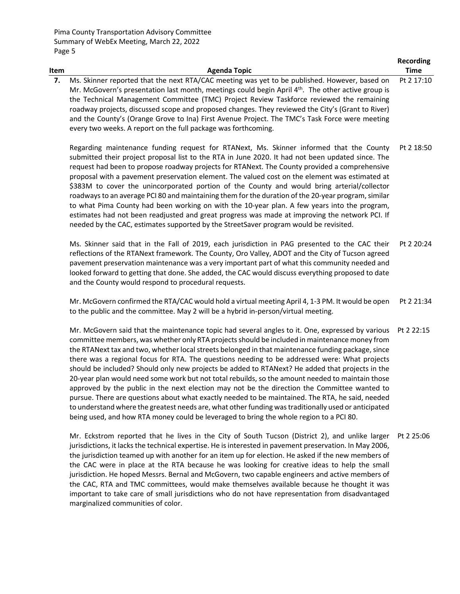|      |                                                                                                                                                                                                                                                                                                                                                                                                                                                                                                                                                                                                                                                                                                                                                                                                                                                                                                  | <b>Recording</b> |
|------|--------------------------------------------------------------------------------------------------------------------------------------------------------------------------------------------------------------------------------------------------------------------------------------------------------------------------------------------------------------------------------------------------------------------------------------------------------------------------------------------------------------------------------------------------------------------------------------------------------------------------------------------------------------------------------------------------------------------------------------------------------------------------------------------------------------------------------------------------------------------------------------------------|------------------|
| Item | <b>Agenda Topic</b>                                                                                                                                                                                                                                                                                                                                                                                                                                                                                                                                                                                                                                                                                                                                                                                                                                                                              | <b>Time</b>      |
| 7.   | Ms. Skinner reported that the next RTA/CAC meeting was yet to be published. However, based on<br>Mr. McGovern's presentation last month, meetings could begin April 4 <sup>th</sup> . The other active group is<br>the Technical Management Committee (TMC) Project Review Taskforce reviewed the remaining<br>roadway projects, discussed scope and proposed changes. They reviewed the City's (Grant to River)<br>and the County's (Orange Grove to Ina) First Avenue Project. The TMC's Task Force were meeting<br>every two weeks. A report on the full package was forthcoming.                                                                                                                                                                                                                                                                                                             | Pt 2 17:10       |
|      | Regarding maintenance funding request for RTANext, Ms. Skinner informed that the County<br>submitted their project proposal list to the RTA in June 2020. It had not been updated since. The<br>request had been to propose roadway projects for RTANext. The County provided a comprehensive<br>proposal with a pavement preservation element. The valued cost on the element was estimated at<br>\$383M to cover the unincorporated portion of the County and would bring arterial/collector<br>roadways to an average PCI 80 and maintaining them for the duration of the 20-year program, similar<br>to what Pima County had been working on with the 10-year plan. A few years into the program,<br>estimates had not been readjusted and great progress was made at improving the network PCI. If<br>needed by the CAC, estimates supported by the StreetSaver program would be revisited. | Pt 2 18:50       |
|      | Ms. Skinner said that in the Fall of 2019, each jurisdiction in PAG presented to the CAC their<br>reflections of the RTANext framework. The County, Oro Valley, ADOT and the City of Tucson agreed<br>pavement preservation maintenance was a very important part of what this community needed and<br>looked forward to getting that done. She added, the CAC would discuss everything proposed to date<br>and the County would respond to procedural requests.                                                                                                                                                                                                                                                                                                                                                                                                                                 | Pt 2 20:24       |
|      | Mr. McGovern confirmed the RTA/CAC would hold a virtual meeting April 4, 1-3 PM. It would be open<br>to the public and the committee. May 2 will be a hybrid in-person/virtual meeting.                                                                                                                                                                                                                                                                                                                                                                                                                                                                                                                                                                                                                                                                                                          | Pt 2 21:34       |
|      | Mr. McGovern said that the maintenance topic had several angles to it. One, expressed by various                                                                                                                                                                                                                                                                                                                                                                                                                                                                                                                                                                                                                                                                                                                                                                                                 | Pt 2 22:15       |

committee members, was whether only RTA projects should be included in maintenance money from the RTANext tax and two, whether local streets belonged in that maintenance funding package, since there was a regional focus for RTA. The questions needing to be addressed were: What projects should be included? Should only new projects be added to RTANext? He added that projects in the 20-year plan would need some work but not total rebuilds, so the amount needed to maintain those approved by the public in the next election may not be the direction the Committee wanted to pursue. There are questions about what exactly needed to be maintained. The RTA, he said, needed to understand where the greatest needs are, what other funding wastraditionally used or anticipated being used, and how RTA money could be leveraged to bring the whole region to a PCI 80.

Mr. Eckstrom reported that he lives in the City of South Tucson (District 2), and unlike larger Pt 2 25:06jurisdictions, it lacks the technical expertise. He is interested in pavement preservation. In May 2006, the jurisdiction teamed up with another for an item up for election. He asked if the new members of the CAC were in place at the RTA because he was looking for creative ideas to help the small jurisdiction. He hoped Messrs. Bernal and McGovern, two capable engineers and active members of the CAC, RTA and TMC committees, would make themselves available because he thought it was important to take care of small jurisdictions who do not have representation from disadvantaged marginalized communities of color.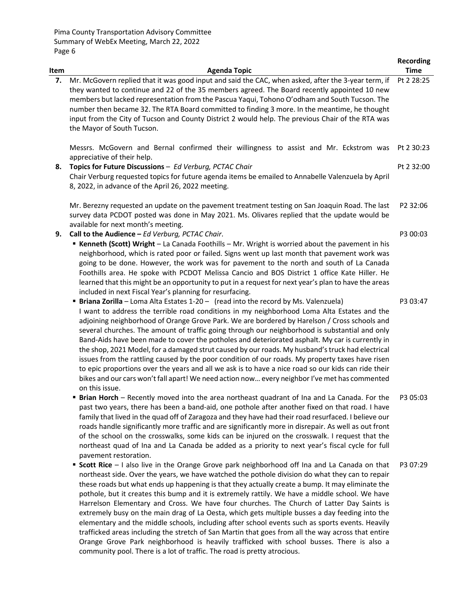| Item | <b>Agenda Topic</b>                                                                                                                                                                                                                                                                                                                                                                                                                                                                                                                                                                                                                                                                                                                                                                                                                                                                                                                                                                      | <b>Recording</b><br><b>Time</b> |
|------|------------------------------------------------------------------------------------------------------------------------------------------------------------------------------------------------------------------------------------------------------------------------------------------------------------------------------------------------------------------------------------------------------------------------------------------------------------------------------------------------------------------------------------------------------------------------------------------------------------------------------------------------------------------------------------------------------------------------------------------------------------------------------------------------------------------------------------------------------------------------------------------------------------------------------------------------------------------------------------------|---------------------------------|
| 7.   | Mr. McGovern replied that it was good input and said the CAC, when asked, after the 3-year term, if<br>they wanted to continue and 22 of the 35 members agreed. The Board recently appointed 10 new<br>members but lacked representation from the Pascua Yaqui, Tohono O'odham and South Tucson. The<br>number then became 32. The RTA Board committed to finding 3 more. In the meantime, he thought<br>input from the City of Tucson and County District 2 would help. The previous Chair of the RTA was<br>the Mayor of South Tucson.                                                                                                                                                                                                                                                                                                                                                                                                                                                 | Pt 2 28:25                      |
|      | Messrs. McGovern and Bernal confirmed their willingness to assist and Mr. Eckstrom was<br>appreciative of their help.                                                                                                                                                                                                                                                                                                                                                                                                                                                                                                                                                                                                                                                                                                                                                                                                                                                                    | Pt 2 30:23                      |
| 8.   | Topics for Future Discussions - Ed Verburg, PCTAC Chair<br>Chair Verburg requested topics for future agenda items be emailed to Annabelle Valenzuela by April<br>8, 2022, in advance of the April 26, 2022 meeting.                                                                                                                                                                                                                                                                                                                                                                                                                                                                                                                                                                                                                                                                                                                                                                      | Pt 2 32:00                      |
|      | Mr. Berezny requested an update on the pavement treatment testing on San Joaquin Road. The last<br>survey data PCDOT posted was done in May 2021. Ms. Olivares replied that the update would be<br>available for next month's meeting.                                                                                                                                                                                                                                                                                                                                                                                                                                                                                                                                                                                                                                                                                                                                                   | P2 32:06                        |
| 9.   | Call to the Audience - Ed Verburg, PCTAC Chair.<br><b>EXECUTE:</b> Kenneth (Scott) Wright - La Canada Foothills - Mr. Wright is worried about the pavement in his<br>neighborhood, which is rated poor or failed. Signs went up last month that pavement work was<br>going to be done. However, the work was for pavement to the north and south of La Canada<br>Foothills area. He spoke with PCDOT Melissa Cancio and BOS District 1 office Kate Hiller. He<br>learned that this might be an opportunity to put in a request for next year's plan to have the areas<br>included in next Fiscal Year's planning for resurfacing.                                                                                                                                                                                                                                                                                                                                                        | P3 00:03                        |
|      | <b>Briana Zorilla</b> - Loma Alta Estates 1-20 - (read into the record by Ms. Valenzuela)<br>I want to address the terrible road conditions in my neighborhood Loma Alta Estates and the<br>adjoining neighborhood of Orange Grove Park. We are bordered by Harelson / Cross schools and<br>several churches. The amount of traffic going through our neighborhood is substantial and only<br>Band-Aids have been made to cover the potholes and deteriorated asphalt. My car is currently in<br>the shop, 2021 Model, for a damaged strut caused by our roads. My husband's truck had electrical<br>issues from the rattling caused by the poor condition of our roads. My property taxes have risen<br>to epic proportions over the years and all we ask is to have a nice road so our kids can ride their<br>bikes and our cars won't fall apart! We need action now every neighbor I've met has commented<br>on this issue.                                                          | P3 03:47                        |
|      | <b>Example 1</b> Brian Horch - Recently moved into the area northeast quadrant of Ina and La Canada. For the<br>past two years, there has been a band-aid, one pothole after another fixed on that road. I have<br>family that lived in the quad off of Zaragoza and they have had their road resurfaced. I believe our<br>roads handle significantly more traffic and are significantly more in disrepair. As well as out front<br>of the school on the crosswalks, some kids can be injured on the crosswalk. I request that the<br>northeast quad of Ina and La Canada be added as a priority to next year's fiscal cycle for full<br>pavement restoration.                                                                                                                                                                                                                                                                                                                           | P3 05:03                        |
|      | " Scott Rice - I also live in the Orange Grove park neighborhood off Ina and La Canada on that<br>northeast side. Over the years, we have watched the pothole division do what they can to repair<br>these roads but what ends up happening is that they actually create a bump. It may eliminate the<br>pothole, but it creates this bump and it is extremely rattily. We have a middle school. We have<br>Harrelson Elementary and Cross. We have four churches. The Church of Latter Day Saints is<br>extremely busy on the main drag of La Oesta, which gets multiple busses a day feeding into the<br>elementary and the middle schools, including after school events such as sports events. Heavily<br>trafficked areas including the stretch of San Martin that goes from all the way across that entire<br>Orange Grove Park neighborhood is heavily trafficked with school busses. There is also a<br>community pool. There is a lot of traffic. The road is pretty atrocious. | P3 07:29                        |